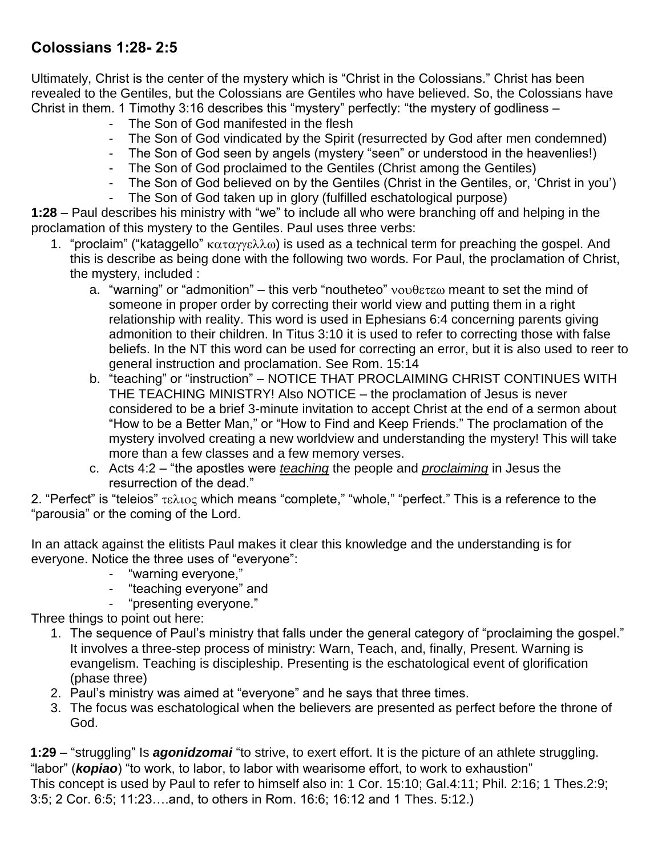## **Colossians 1:28- 2:5**

Ultimately, Christ is the center of the mystery which is "Christ in the Colossians." Christ has been revealed to the Gentiles, but the Colossians are Gentiles who have believed. So, the Colossians have Christ in them. 1 Timothy 3:16 describes this "mystery" perfectly: "the mystery of godliness –

- The Son of God manifested in the flesh
- The Son of God vindicated by the Spirit (resurrected by God after men condemned)
- The Son of God seen by angels (mystery "seen" or understood in the heavenlies!)
- The Son of God proclaimed to the Gentiles (Christ among the Gentiles)
- The Son of God believed on by the Gentiles (Christ in the Gentiles, or, 'Christ in you') The Son of God taken up in glory (fulfilled eschatological purpose)

**1:28** – Paul describes his ministry with "we" to include all who were branching off and helping in the proclamation of this mystery to the Gentiles. Paul uses three verbs:

- 1. "proclaim" ("kataggello"  $\kappa \alpha \tau \alpha \gamma \epsilon \lambda \lambda \omega$ ) is used as a technical term for preaching the gospel. And this is describe as being done with the following two words. For Paul, the proclamation of Christ, the mystery, included :
	- a. "warning" or "admonition" this verb "noutheteo"  $\nu$ ovθετεω meant to set the mind of someone in proper order by correcting their world view and putting them in a right relationship with reality. This word is used in Ephesians 6:4 concerning parents giving admonition to their children. In Titus 3:10 it is used to refer to correcting those with false beliefs. In the NT this word can be used for correcting an error, but it is also used to reer to general instruction and proclamation. See Rom. 15:14
	- b. "teaching" or "instruction" NOTICE THAT PROCLAIMING CHRIST CONTINUES WITH THE TEACHING MINISTRY! Also NOTICE – the proclamation of Jesus is never considered to be a brief 3-minute invitation to accept Christ at the end of a sermon about "How to be a Better Man," or "How to Find and Keep Friends." The proclamation of the mystery involved creating a new worldview and understanding the mystery! This will take more than a few classes and a few memory verses.
	- c. Acts 4:2 "the apostles were *teaching* the people and *proclaiming* in Jesus the resurrection of the dead."

2. "Perfect" is "teleios"  $\tau \in \lambda$  to c which means "complete," "whole," "perfect." This is a reference to the "parousia" or the coming of the Lord.

In an attack against the elitists Paul makes it clear this knowledge and the understanding is for everyone. Notice the three uses of "everyone":

- "warning everyone,"
- "teaching everyone" and
	- "presenting everyone."

Three things to point out here:

- 1. The sequence of Paul's ministry that falls under the general category of "proclaiming the gospel." It involves a three-step process of ministry: Warn, Teach, and, finally, Present. Warning is evangelism. Teaching is discipleship. Presenting is the eschatological event of glorification (phase three)
- 2. Paul's ministry was aimed at "everyone" and he says that three times.
- 3. The focus was eschatological when the believers are presented as perfect before the throne of God.

**1:29** – "struggling" Is *agonidzomai* "to strive, to exert effort. It is the picture of an athlete struggling. "labor" (*kopiao*) "to work, to labor, to labor with wearisome effort, to work to exhaustion" This concept is used by Paul to refer to himself also in: 1 Cor. 15:10; Gal.4:11; Phil. 2:16; 1 Thes.2:9; 3:5; 2 Cor. 6:5; 11:23….and, to others in Rom. 16:6; 16:12 and 1 Thes. 5:12.)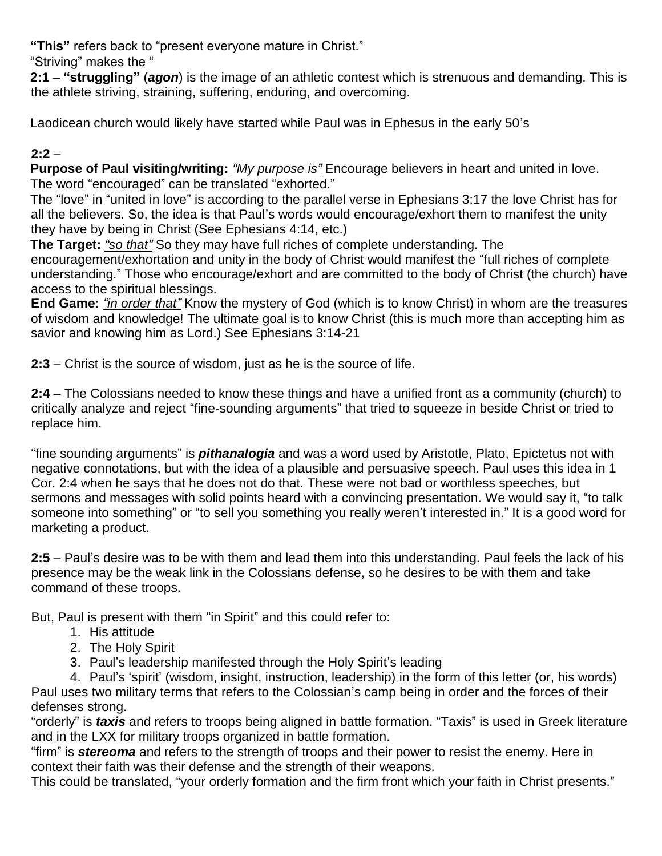**"This"** refers back to "present everyone mature in Christ."

"Striving" makes the "

**2:1** – **"struggling"** (*agon*) is the image of an athletic contest which is strenuous and demanding. This is the athlete striving, straining, suffering, enduring, and overcoming.

Laodicean church would likely have started while Paul was in Ephesus in the early 50's

## **2:2** –

**Purpose of Paul visiting/writing:** *"My purpose is"* Encourage believers in heart and united in love. The word "encouraged" can be translated "exhorted."

The "love" in "united in love" is according to the parallel verse in Ephesians 3:17 the love Christ has for all the believers. So, the idea is that Paul's words would encourage/exhort them to manifest the unity they have by being in Christ (See Ephesians 4:14, etc.)

**The Target:** *"so that"* So they may have full riches of complete understanding. The encouragement/exhortation and unity in the body of Christ would manifest the "full riches of complete understanding." Those who encourage/exhort and are committed to the body of Christ (the church) have access to the spiritual blessings.

**End Game:** *"in order that"* Know the mystery of God (which is to know Christ) in whom are the treasures of wisdom and knowledge! The ultimate goal is to know Christ (this is much more than accepting him as savior and knowing him as Lord.) See Ephesians 3:14-21

**2:3** – Christ is the source of wisdom, just as he is the source of life.

**2:4** – The Colossians needed to know these things and have a unified front as a community (church) to critically analyze and reject "fine-sounding arguments" that tried to squeeze in beside Christ or tried to replace him.

"fine sounding arguments" is *pithanalogia* and was a word used by Aristotle, Plato, Epictetus not with negative connotations, but with the idea of a plausible and persuasive speech. Paul uses this idea in 1 Cor. 2:4 when he says that he does not do that. These were not bad or worthless speeches, but sermons and messages with solid points heard with a convincing presentation. We would say it, "to talk someone into something" or "to sell you something you really weren't interested in." It is a good word for marketing a product.

**2:5** – Paul's desire was to be with them and lead them into this understanding. Paul feels the lack of his presence may be the weak link in the Colossians defense, so he desires to be with them and take command of these troops.

But, Paul is present with them "in Spirit" and this could refer to:

- 1. His attitude
- 2. The Holy Spirit
- 3. Paul's leadership manifested through the Holy Spirit's leading

4. Paul's 'spirit' (wisdom, insight, instruction, leadership) in the form of this letter (or, his words) Paul uses two military terms that refers to the Colossian's camp being in order and the forces of their defenses strong.

"orderly" is *taxis* and refers to troops being aligned in battle formation. "Taxis" is used in Greek literature and in the LXX for military troops organized in battle formation.

"firm" is *stereoma* and refers to the strength of troops and their power to resist the enemy. Here in context their faith was their defense and the strength of their weapons.

This could be translated, "your orderly formation and the firm front which your faith in Christ presents."